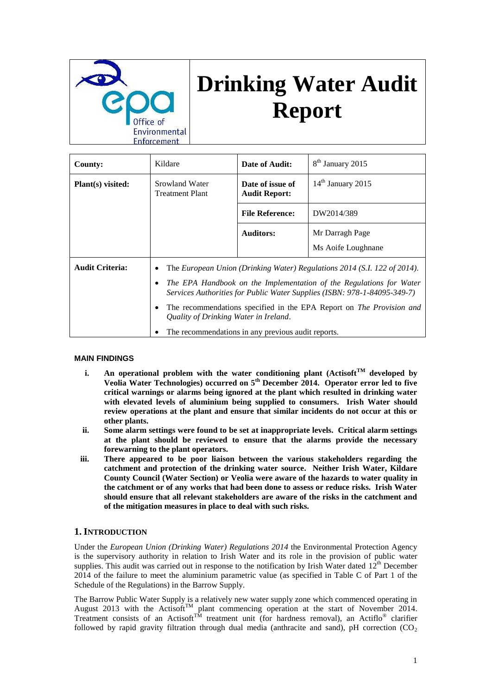

# **Drinking Water Audit Report**

| <b>County:</b>         | Kildare                                                                                                                                                                                                                                                                                                                                                                                                                       | Date of Audit:                           | 8 <sup>th</sup> January 2015          |
|------------------------|-------------------------------------------------------------------------------------------------------------------------------------------------------------------------------------------------------------------------------------------------------------------------------------------------------------------------------------------------------------------------------------------------------------------------------|------------------------------------------|---------------------------------------|
| Plant(s) visited:      | Srowland Water<br><b>Treatment Plant</b>                                                                                                                                                                                                                                                                                                                                                                                      | Date of issue of<br><b>Audit Report:</b> | $14th$ January 2015                   |
|                        |                                                                                                                                                                                                                                                                                                                                                                                                                               | <b>File Reference:</b>                   | DW2014/389                            |
|                        |                                                                                                                                                                                                                                                                                                                                                                                                                               | <b>Auditors:</b>                         | Mr Darragh Page<br>Ms Aoife Loughnane |
| <b>Audit Criteria:</b> | The European Union (Drinking Water) Regulations 2014 (S.I. 122 of 2014).<br>٠<br>The EPA Handbook on the Implementation of the Regulations for Water<br>٠<br>Services Authorities for Public Water Supplies (ISBN: 978-1-84095-349-7)<br>The recommendations specified in the EPA Report on <i>The Provision and</i><br>٠<br>Quality of Drinking Water in Ireland.<br>The recommendations in any previous audit reports.<br>٠ |                                          |                                       |

# **MAIN FINDINGS**

- **i.** An operational problem with the water conditioning plant  $(Actisoft<sup>TM</sup>$  developed by **Veolia Water Technologies) occurred on 5th December 2014. Operator error led to five critical warnings or alarms being ignored at the plant which resulted in drinking water with elevated levels of aluminium being supplied to consumers. Irish Water should review operations at the plant and ensure that similar incidents do not occur at this or other plants.**
- **ii. Some alarm settings were found to be set at inappropriate levels. Critical alarm settings at the plant should be reviewed to ensure that the alarms provide the necessary forewarning to the plant operators.**
- **iii. There appeared to be poor liaison between the various stakeholders regarding the catchment and protection of the drinking water source. Neither Irish Water, Kildare County Council (Water Section) or Veolia were aware of the hazards to water quality in the catchment or of any works that had been done to assess or reduce risks. Irish Water should ensure that all relevant stakeholders are aware of the risks in the catchment and of the mitigation measures in place to deal with such risks.**

# **1. INTRODUCTION**

Under the *European Union (Drinking Water) Regulations 2014* the Environmental Protection Agency is the supervisory authority in relation to Irish Water and its role in the provision of public water supplies. This audit was carried out in response to the notification by Irish Water dated  $12^{\text{th}}$  December 2014 of the failure to meet the aluminium parametric value (as specified in Table C of Part 1 of the Schedule of the Regulations) in the Barrow Supply.

The Barrow Public Water Supply is a relatively new water supply zone which commenced operating in August 2013 with the Actisoft<sup>TM</sup> plant commencing operation at the start of November 2014. Treatment consists of an Actisoft<sup>TM</sup> treatment unit (for hardness removal), an Actiflo<sup>®</sup> clarifier followed by rapid gravity filtration through dual media (anthracite and sand), pH correction  $(CO<sub>2</sub>)$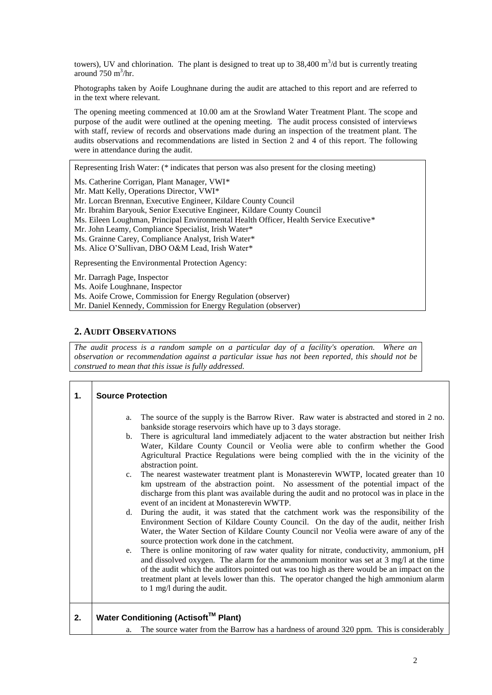towers), UV and chlorination. The plant is designed to treat up to  $38,400 \text{ m}^3/\text{d}$  but is currently treating around  $750 \text{ m}^3/\text{hr}$ .

Photographs taken by Aoife Loughnane during the audit are attached to this report and are referred to in the text where relevant.

The opening meeting commenced at 10.00 am at the Srowland Water Treatment Plant. The scope and purpose of the audit were outlined at the opening meeting. The audit process consisted of interviews with staff, review of records and observations made during an inspection of the treatment plant. The audits observations and recommendations are listed in Section 2 and 4 of this report. The following were in attendance during the audit.

Representing Irish Water: (\* indicates that person was also present for the closing meeting)

Ms. Catherine Corrigan, Plant Manager, VWI\*

Mr. Matt Kelly, Operations Director, VWI\*

Mr. Lorcan Brennan, Executive Engineer, Kildare County Council

Mr. Ibrahim Baryouk, Senior Executive Engineer, Kildare County Council

Ms. Eileen Loughman, Principal Environmental Health Officer, Health Service Executive\*

Mr. John Leamy, Compliance Specialist, Irish Water\*

Ms. Grainne Carey, Compliance Analyst, Irish Water\*

Ms. Alice O'Sullivan, DBO O&M Lead, Irish Water\*

Representing the Environmental Protection Agency:

Mr. Darragh Page, Inspector

Ms. Aoife Loughnane, Inspector

Ms. Aoife Crowe, Commission for Energy Regulation (observer)

Mr. Daniel Kennedy, Commission for Energy Regulation (observer)

# **2. AUDIT OBSERVATIONS**

*The audit process is a random sample on a particular day of a facility's operation. Where an observation or recommendation against a particular issue has not been reported, this should not be construed to mean that this issue is fully addressed.*

| 1. | <b>Source Protection</b> |                                                                                                                                                                                                                                                                                                                                                                                                                      |  |  |
|----|--------------------------|----------------------------------------------------------------------------------------------------------------------------------------------------------------------------------------------------------------------------------------------------------------------------------------------------------------------------------------------------------------------------------------------------------------------|--|--|
|    | a.                       | The source of the supply is the Barrow River. Raw water is abstracted and stored in 2 no.<br>bankside storage reservoirs which have up to 3 days storage.                                                                                                                                                                                                                                                            |  |  |
|    | b.                       | There is agricultural land immediately adjacent to the water abstraction but neither Irish<br>Water, Kildare County Council or Veolia were able to confirm whether the Good<br>Agricultural Practice Regulations were being complied with the in the vicinity of the<br>abstraction point.                                                                                                                           |  |  |
|    | $c_{\cdot}$              | The nearest wastewater treatment plant is Monasterevin WWTP, located greater than 10<br>km upstream of the abstraction point. No assessment of the potential impact of the<br>discharge from this plant was available during the audit and no protocol was in place in the<br>event of an incident at Monasterevin WWTP.                                                                                             |  |  |
|    | d.                       | During the audit, it was stated that the catchment work was the responsibility of the<br>Environment Section of Kildare County Council. On the day of the audit, neither Irish<br>Water, the Water Section of Kildare County Council nor Veolia were aware of any of the<br>source protection work done in the catchment.                                                                                            |  |  |
|    | e.                       | There is online monitoring of raw water quality for nitrate, conductivity, ammonium, pH<br>and dissolved oxygen. The alarm for the ammonium monitor was set at $3 \text{ mg}/1$ at the time<br>of the audit which the auditors pointed out was too high as there would be an impact on the<br>treatment plant at levels lower than this. The operator changed the high ammonium alarm<br>to 1 mg/l during the audit. |  |  |
| 2. |                          | Water Conditioning (Actisoft™ Plant)                                                                                                                                                                                                                                                                                                                                                                                 |  |  |
|    | a.                       | The source water from the Barrow has a hardness of around 320 ppm. This is considerably                                                                                                                                                                                                                                                                                                                              |  |  |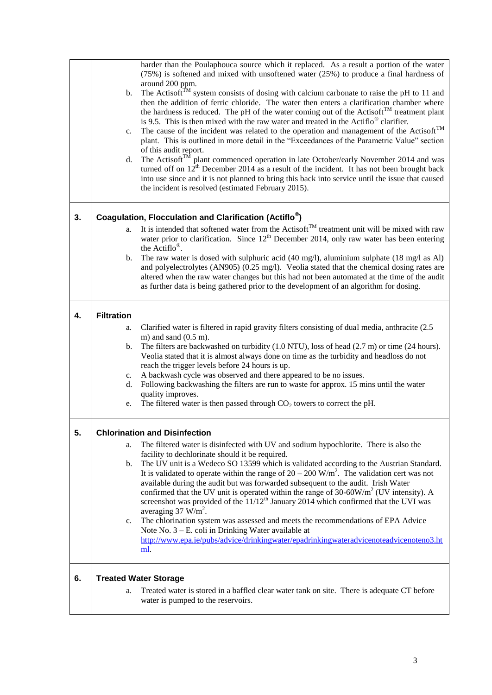|    |                   | harder than the Poulaphouca source which it replaced. As a result a portion of the water                                                                                                           |
|----|-------------------|----------------------------------------------------------------------------------------------------------------------------------------------------------------------------------------------------|
|    |                   | $(75%)$ is softened and mixed with unsoftened water $(25%)$ to produce a final hardness of                                                                                                         |
|    |                   | around 200 ppm.                                                                                                                                                                                    |
|    | b.                | The Actisoft <sup>TM</sup> system consists of dosing with calcium carbonate to raise the pH to 11 and                                                                                              |
|    |                   | then the addition of ferric chloride. The water then enters a clarification chamber where<br>the hardness is reduced. The pH of the water coming out of the Actisoft <sup>TM</sup> treatment plant |
|    |                   | is 9.5. This is then mixed with the raw water and treated in the Actiflo <sup>®</sup> clarifier.                                                                                                   |
|    | c.                | The cause of the incident was related to the operation and management of the Actisoft <sup>TM</sup>                                                                                                |
|    |                   | plant. This is outlined in more detail in the "Exceedances of the Parametric Value" section                                                                                                        |
|    |                   | of this audit report.                                                                                                                                                                              |
|    | d.                | The Actisoft <sup>TM</sup> plant commenced operation in late October/early November 2014 and was                                                                                                   |
|    |                   | turned off on $12^{th}$ December 2014 as a result of the incident. It has not been brought back                                                                                                    |
|    |                   | into use since and it is not planned to bring this back into service until the issue that caused                                                                                                   |
|    |                   | the incident is resolved (estimated February 2015).                                                                                                                                                |
|    |                   |                                                                                                                                                                                                    |
| 3. |                   | Coagulation, Flocculation and Clarification (Actiflo <sup>®</sup> )                                                                                                                                |
|    | a.                | It is intended that softened water from the Actisoft <sup>™</sup> treatment unit will be mixed with raw                                                                                            |
|    |                   | water prior to clarification. Since $12th$ December 2014, only raw water has been entering<br>the Actiflo <sup>®</sup> .                                                                           |
|    | b.                | The raw water is dosed with sulphuric acid $(40 \text{ mg/l})$ , aluminium sulphate $(18 \text{ mg/l as Al})$                                                                                      |
|    |                   | and polyelectrolytes (AN905) (0.25 mg/l). Veolia stated that the chemical dosing rates are                                                                                                         |
|    |                   | altered when the raw water changes but this had not been automated at the time of the audit                                                                                                        |
|    |                   | as further data is being gathered prior to the development of an algorithm for dosing.                                                                                                             |
|    |                   |                                                                                                                                                                                                    |
| 4. | <b>Filtration</b> |                                                                                                                                                                                                    |
|    | a.                | Clarified water is filtered in rapid gravity filters consisting of dual media, anthracite (2.5)                                                                                                    |
|    |                   | m) and sand $(0.5 \text{ m})$ .                                                                                                                                                                    |
|    | b.                | The filters are backwashed on turbidity $(1.0 \text{ NTU})$ , loss of head $(2.7 \text{ m})$ or time $(24 \text{ hours})$ .                                                                        |
|    |                   | Veolia stated that it is almost always done on time as the turbidity and headloss do not                                                                                                           |
|    |                   | reach the trigger levels before 24 hours is up.                                                                                                                                                    |
|    | c.<br>d.          | A backwash cycle was observed and there appeared to be no issues.<br>Following backwashing the filters are run to waste for approx. 15 mins until the water                                        |
|    |                   | quality improves.                                                                                                                                                                                  |
|    | e.                | The filtered water is then passed through $CO2$ towers to correct the pH.                                                                                                                          |
|    |                   |                                                                                                                                                                                                    |
| 5. |                   | <b>Chlorination and Disinfection</b>                                                                                                                                                               |
|    | a.                | The filtered water is disinfected with UV and sodium hypochlorite. There is also the                                                                                                               |
|    |                   | facility to dechlorinate should it be required.                                                                                                                                                    |
|    | b.                | The UV unit is a Wedeco SO 13599 which is validated according to the Austrian Standard.                                                                                                            |
|    |                   | It is validated to operate within the range of $20 - 200$ W/m <sup>2</sup> . The validation cert was not                                                                                           |
|    |                   | available during the audit but was forwarded subsequent to the audit. Irish Water                                                                                                                  |
|    |                   | confirmed that the UV unit is operated within the range of $30-60W/m2$ (UV intensity). A<br>screenshot was provided of the 11/12 <sup>th</sup> January 2014 which confirmed that the UVI was       |
|    |                   | averaging $37 \text{ W/m}^2$ .                                                                                                                                                                     |
|    | c.                | The chlorination system was assessed and meets the recommendations of EPA Advice                                                                                                                   |
|    |                   | Note No. $3 - E$ . coli in Drinking Water available at                                                                                                                                             |
|    |                   | http://www.epa.ie/pubs/advice/drinkingwater/epadrinkingwateradvicenoteadvicenoteno3.ht                                                                                                             |
|    |                   | ml.                                                                                                                                                                                                |
|    |                   |                                                                                                                                                                                                    |
| 6. |                   | <b>Treated Water Storage</b>                                                                                                                                                                       |
|    | a.                | Treated water is stored in a baffled clear water tank on site. There is adequate CT before                                                                                                         |
|    |                   | water is pumped to the reservoirs.                                                                                                                                                                 |
|    |                   |                                                                                                                                                                                                    |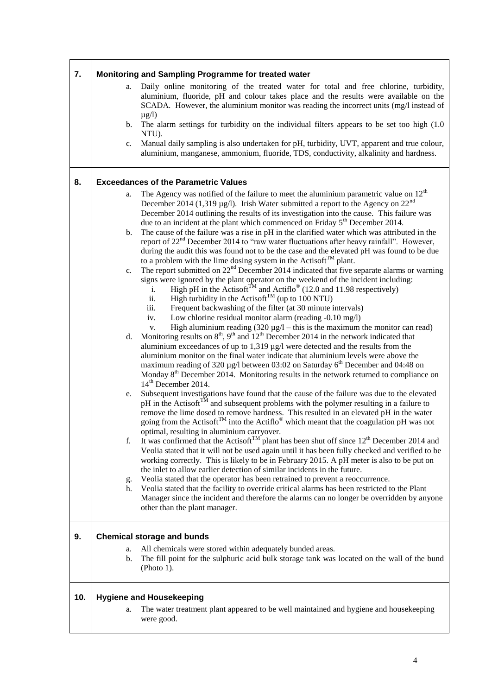| 7.  |                |                                                                                                                          |
|-----|----------------|--------------------------------------------------------------------------------------------------------------------------|
|     |                | Monitoring and Sampling Programme for treated water                                                                      |
|     | a.             | Daily online monitoring of the treated water for total and free chlorine, turbidity,                                     |
|     |                | aluminium, fluoride, pH and colour takes place and the results were available on the                                     |
|     |                | SCADA. However, the aluminium monitor was reading the incorrect units (mg/l instead of                                   |
|     |                | $\mu$ g/l)                                                                                                               |
|     | b.             | The alarm settings for turbidity on the individual filters appears to be set too high (1.0)                              |
|     |                | NTU).                                                                                                                    |
|     | c.             | Manual daily sampling is also undertaken for pH, turbidity, UVT, apparent and true colour,                               |
|     |                | aluminium, manganese, ammonium, fluoride, TDS, conductivity, alkalinity and hardness.                                    |
|     |                |                                                                                                                          |
|     |                |                                                                                                                          |
| 8.  |                | <b>Exceedances of the Parametric Values</b>                                                                              |
|     | a.             | The Agency was notified of the failure to meet the aluminium parametric value on $12th$                                  |
|     |                | December 2014 (1,319 µg/l). Irish Water submitted a report to the Agency on $22nd$                                       |
|     |                | December 2014 outlining the results of its investigation into the cause. This failure was                                |
|     |                | due to an incident at the plant which commenced on Friday 5 <sup>th</sup> December 2014.                                 |
|     | b.             | The cause of the failure was a rise in pH in the clarified water which was attributed in the                             |
|     |                | report of $22nd$ December 2014 to "raw water fluctuations after heavy rainfall". However,                                |
|     |                | during the audit this was found not to be the case and the elevated pH was found to be due                               |
|     |                | to a problem with the lime dosing system in the Actisoft <sup>TM</sup> plant.                                            |
|     |                | The report submitted on $22^{nd}$ December 2014 indicated that five separate alarms or warning                           |
|     | c.             | signs were ignored by the plant operator on the weekend of the incident including:                                       |
|     |                |                                                                                                                          |
|     |                | High pH in the Actisoft <sup>TM</sup> and Actiflo <sup>®</sup> (12.0 and 11.98 respectively)<br>i.                       |
|     |                | High turbidity in the Actisoft <sup>TM</sup> (up to 100 NTU)<br>ii.                                                      |
|     |                | Frequent backwashing of the filter (at 30 minute intervals)<br>iii.                                                      |
|     |                | Low chlorine residual monitor alarm (reading -0.10 mg/l)<br>iv.                                                          |
|     |                | High aluminium reading $(320 \mu g/l - \text{this is the maximum the monitor can read})$<br>V.                           |
|     | d.             | Monitoring results on $8^{\text{th}}$ , $9^{\text{th}}$ and $12^{\text{th}}$ December 2014 in the network indicated that |
|     |                | aluminium exceedances of up to 1,319 µg/l were detected and the results from the                                         |
|     |                | aluminium monitor on the final water indicate that aluminium levels were above the                                       |
|     |                | maximum reading of 320 µg/l between 03:02 on Saturday 6 <sup>th</sup> December and 04:48 on                              |
|     |                | Monday 8 <sup>th</sup> December 2014. Monitoring results in the network returned to compliance on                        |
|     |                | $14th$ December 2014.                                                                                                    |
|     | e.             | Subsequent investigations have found that the cause of the failure was due to the elevated                               |
|     |                | $pH$ in the Actisoft <sup>TM</sup> and subsequent problems with the polymer resulting in a failure to                    |
|     |                | remove the lime dosed to remove hardness. This resulted in an elevated pH in the water                                   |
|     |                | going from the Actisoft <sup>TM</sup> into the Actiflo <sup>®</sup> which meant that the coagulation pH was not          |
|     |                | optimal, resulting in aluminium carryover.                                                                               |
|     | f.             | It was confirmed that the Actisoft <sup>TM</sup> plant has been shut off since $12^{th}$ December 2014 and               |
|     |                | Veolia stated that it will not be used again until it has been fully checked and verified to be                          |
|     |                | working correctly. This is likely to be in February 2015. A pH meter is also to be put on                                |
|     |                | the inlet to allow earlier detection of similar incidents in the future.                                                 |
|     | g.             | Veolia stated that the operator has been retrained to prevent a reoccurrence.                                            |
|     | h.             | Veolia stated that the facility to override critical alarms has been restricted to the Plant                             |
|     |                | Manager since the incident and therefore the alarms can no longer be overridden by anyone                                |
|     |                | other than the plant manager.                                                                                            |
|     |                |                                                                                                                          |
|     |                |                                                                                                                          |
| 9.  |                | <b>Chemical storage and bunds</b>                                                                                        |
|     | a.             | All chemicals were stored within adequately bunded areas.                                                                |
|     | $\mathbf{b}$ . | The fill point for the sulphuric acid bulk storage tank was located on the wall of the bund                              |
|     |                | (Photo $1$ ).                                                                                                            |
|     |                |                                                                                                                          |
|     |                |                                                                                                                          |
| 10. |                | <b>Hygiene and Housekeeping</b>                                                                                          |
|     | a.             | The water treatment plant appeared to be well maintained and hygiene and housekeeping                                    |
|     |                | were good.                                                                                                               |
|     |                |                                                                                                                          |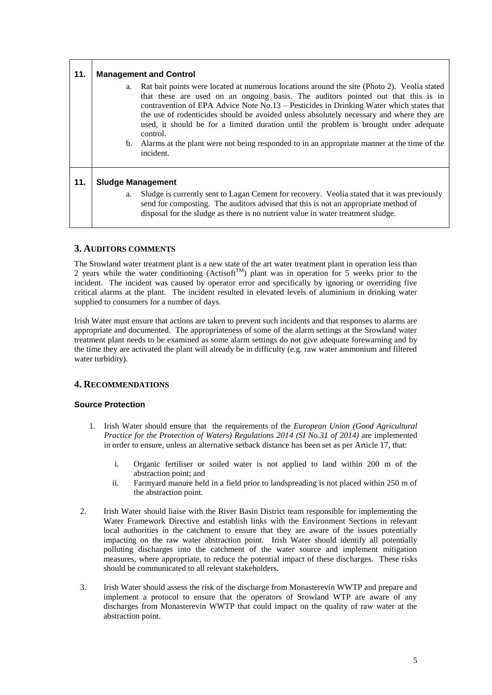| 11. | <b>Management and Control</b> |                                                                                                                                                                                                                                                                                                                                                                                                                                                                                                                                                                                                |  |
|-----|-------------------------------|------------------------------------------------------------------------------------------------------------------------------------------------------------------------------------------------------------------------------------------------------------------------------------------------------------------------------------------------------------------------------------------------------------------------------------------------------------------------------------------------------------------------------------------------------------------------------------------------|--|
|     |                               | a. Rat bait points were located at numerous locations around the site (Photo 2). Veolia stated<br>that these are used on an ongoing basis. The auditors pointed out that this is in<br>contravention of EPA Advice Note No.13 – Pesticides in Drinking Water which states that<br>the use of rodenticides should be avoided unless absolutely necessary and where they are<br>used, it should be for a limited duration until the problem is brought under adequate<br>control.<br>b. Alarms at the plant were not being responded to in an appropriate manner at the time of the<br>incident. |  |
| 11. | <b>Sludge Management</b>      |                                                                                                                                                                                                                                                                                                                                                                                                                                                                                                                                                                                                |  |
|     | a.                            | Sludge is currently sent to Lagan Cement for recovery. Veolia stated that it was previously<br>send for composting. The auditors advised that this is not an appropriate method of<br>disposal for the sludge as there is no nutrient value in water treatment sludge.                                                                                                                                                                                                                                                                                                                         |  |

# **3. AUDITORS COMMENTS**

The Srowland water treatment plant is a new state of the art water treatment plant in operation less than 2 years while the water conditioning (Actisoft<sup>TM</sup>) plant was in operation for 5 weeks prior to the incident. The incident was caused by operator error and specifically by ignoring or overriding five critical alarms at the plant. The incident resulted in elevated levels of aluminium in drinking water supplied to consumers for a number of days.

Irish Water must ensure that actions are taken to prevent such incidents and that responses to alarms are appropriate and documented. The appropriateness of some of the alarm settings at the Srowland water treatment plant needs to be examined as some alarm settings do not give adequate forewarning and by the time they are activated the plant will already be in difficulty (e.g. raw water ammonium and filtered water turbidity).

# **4. RECOMMENDATIONS**

# **Source Protection**

- 1. Irish Water should ensure that the requirements of the *European Union (Good Agricultural Practice for the Protection of Waters) Regulations 2014 (SI No.31 of 2014)* are implemented in order to ensure, unless an alternative setback distance has been set as per Article 17, that:
	- i. Organic fertiliser or soiled water is not applied to land within 200 m of the abstraction point; and
	- ii. Farmyard manure held in a field prior to landspreading is not placed within 250 m of the abstraction point.
- 2. Irish Water should liaise with the River Basin District team responsible for implementing the Water Framework Directive and establish links with the Environment Sections in relevant local authorities in the catchment to ensure that they are aware of the issues potentially impacting on the raw water abstraction point. Irish Water should identify all potentially polluting discharges into the catchment of the water source and implement mitigation measures, where appropriate, to reduce the potential impact of these discharges. These risks should be communicated to all relevant stakeholders.
- 3. Irish Water should assess the risk of the discharge from Monasterevin WWTP and prepare and implement a protocol to ensure that the operators of Srowland WTP are aware of any discharges from Monasterevin WWTP that could impact on the quality of raw water at the abstraction point.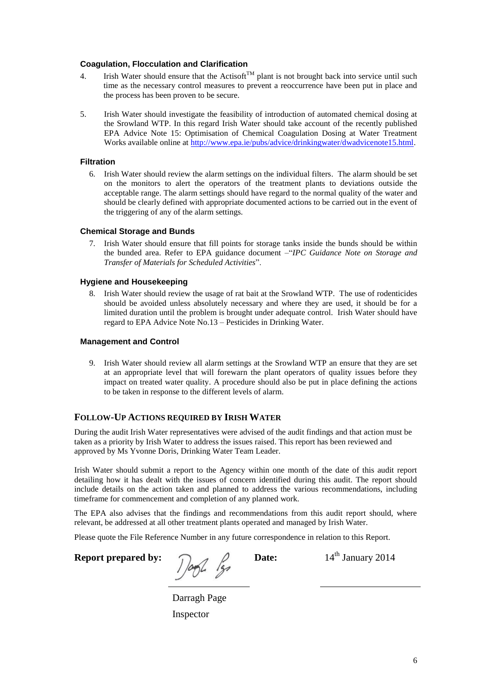#### **Coagulation, Flocculation and Clarification**

- 4. Irish Water should ensure that the Actisoft<sup>TM</sup> plant is not brought back into service until such time as the necessary control measures to prevent a reoccurrence have been put in place and the process has been proven to be secure.
- 5. Irish Water should investigate the feasibility of introduction of automated chemical dosing at the Srowland WTP. In this regard Irish Water should take account of the recently published EPA Advice Note 15: Optimisation of Chemical Coagulation Dosing at Water Treatment Works available online at [http://www.epa.ie/pubs/advice/drinkingwater/dwadvicenote15.html.](http://www.epa.ie/pubs/advice/drinkingwater/dwadvicenote15.html)

#### **Filtration**

6. Irish Water should review the alarm settings on the individual filters. The alarm should be set on the monitors to alert the operators of the treatment plants to deviations outside the acceptable range. The alarm settings should have regard to the normal quality of the water and should be clearly defined with appropriate documented actions to be carried out in the event of the triggering of any of the alarm settings.

### **Chemical Storage and Bunds**

7. Irish Water should ensure that fill points for storage tanks inside the bunds should be within the bunded area. Refer to EPA guidance document –"*IPC Guidance Note on Storage and Transfer of Materials for Scheduled Activities*".

### **Hygiene and Housekeeping**

8. Irish Water should review the usage of rat bait at the Srowland WTP. The use of rodenticides should be avoided unless absolutely necessary and where they are used, it should be for a limited duration until the problem is brought under adequate control. Irish Water should have regard to EPA Advice Note No.13 – Pesticides in Drinking Water.

#### **Management and Control**

9. Irish Water should review all alarm settings at the Srowland WTP an ensure that they are set at an appropriate level that will forewarn the plant operators of quality issues before they impact on treated water quality. A procedure should also be put in place defining the actions to be taken in response to the different levels of alarm.

# **FOLLOW-UP ACTIONS REQUIRED BY IRISH WATER**

During the audit Irish Water representatives were advised of the audit findings and that action must be taken as a priority by Irish Water to address the issues raised. This report has been reviewed and approved by Ms Yvonne Doris, Drinking Water Team Leader.

Irish Water should submit a report to the Agency within one month of the date of this audit report detailing how it has dealt with the issues of concern identified during this audit. The report should include details on the action taken and planned to address the various recommendations, including timeframe for commencement and completion of any planned work.

The EPA also advises that the findings and recommendations from this audit report should, where relevant, be addressed at all other treatment plants operated and managed by Irish Water.

Please quote the File Reference Number in any future correspondence in relation to this Report.

**Report prepared by:**  $\int \frac{1}{4}$  **Date:** 14<sup>th</sup> January 2014

Darragh Page Inspector